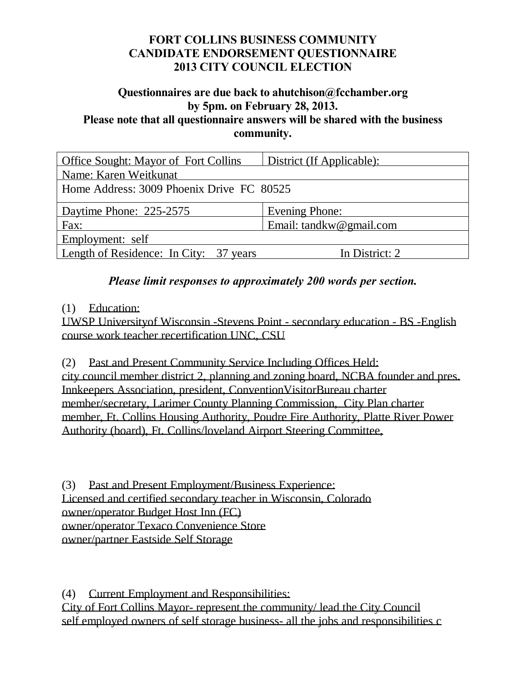#### **Questionnaires are due back to ahutchison@fcchamber.org by 5pm. on February 28, 2013. Please note that all questionnaire answers will be shared with the business community.**

| <b>Office Sought: Mayor of Fort Collins</b>   | District (If Applicable): |
|-----------------------------------------------|---------------------------|
| Name: Karen Weitkunat                         |                           |
| Home Address: 3009 Phoenix Drive FC 80525     |                           |
| Daytime Phone: 225-2575                       | Evening Phone:            |
| Fax:                                          | Email: tandkw@gmail.com   |
| Employment: self                              |                           |
| <b>Length of Residence: In City: 37 years</b> | In District: 2            |

### *Please limit responses to approximately 200 words per section.*

### (1) Education:

UWSP Universityof Wisconsin -Stevens Point - secondary education - BS -English course work teacher recertification UNC, CSU

(2) Past and Present Community Service Including Offices Held: city council member district 2, planning and zoning board, NCBA founder and pres. Innkeepers Association, president, ConventionVisitorBureau charter member/secretary, Larimer County Planning Commission, City Plan charter member, Ft. Collins Housing Authority, Poudre Fire Authority, Platte River Power Authority (board), Ft. Collins/loveland Airport Steering Committee,

(3) Past and Present Employment/Business Experience: Licensed and certified secondary teacher in Wisconsin, Colorado owner/operator Budget Host Inn (FC) owner/operator Texaco Convenience Store owner/partner Eastside Self Storage

(4) Current Employment and Responsibilities: City of Fort Collins Mayor- represent the community/ lead the City Council self employed owners of self storage business- all the jobs and responsibilities c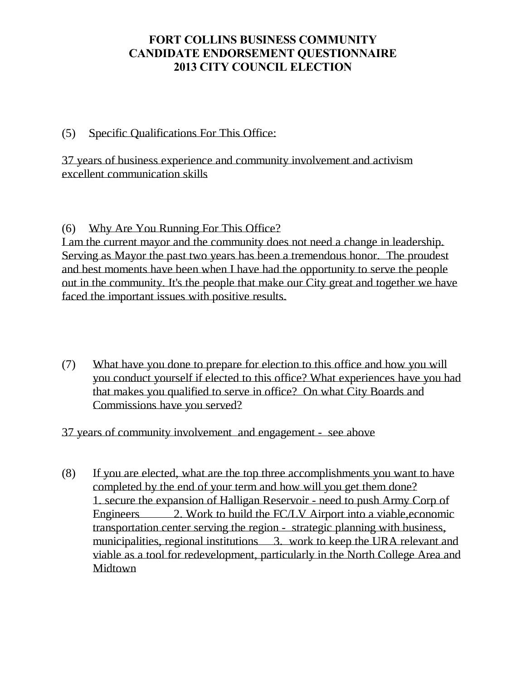### (5) Specific Qualifications For This Office:

37 years of business experience and community involvement and activism excellent communication skills

(6) Why Are You Running For This Office?

I am the current mayor and the community does not need a change in leadership. Serving as Mayor the past two years has been a tremendous honor. The proudest and best moments have been when I have had the opportunity to serve the people out in the community. It's the people that make our City great and together we have faced the important issues with positive results.

(7) What have you done to prepare for election to this office and how you will you conduct yourself if elected to this office? What experiences have you had that makes you qualified to serve in office? On what City Boards and Commissions have you served?

37 years of community involvement and engagement - see above

(8) If you are elected, what are the top three accomplishments you want to have completed by the end of your term and how will you get them done? 1. secure the expansion of Halligan Reservoir - need to push Army Corp of Engineers 2. Work to build the FC/LV Airport into a viable, economic transportation center serving the region - strategic planning with business, municipalities, regional institutions 3. work to keep the URA relevant and viable as a tool for redevelopment, particularly in the North College Area and Midtown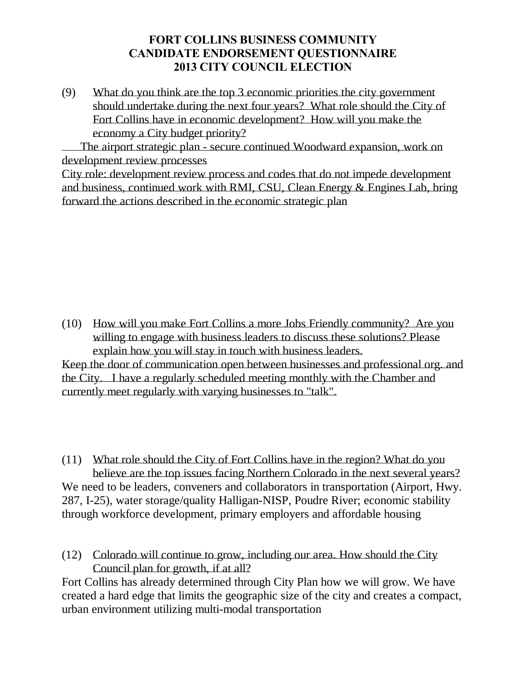(9) What do you think are the top 3 economic priorities the city government should undertake during the next four years? What role should the City of Fort Collins have in economic development? How will you make the economy a City budget priority?

 The airport strategic plan - secure continued Woodward expansion, work on development review processes

City role: development review process and codes that do not impede development and business, continued work with RMI, CSU, Clean Energy & Engines Lab, bring forward the actions described in the economic strategic plan

(10) How will you make Fort Collins a more Jobs Friendly community? Are you willing to engage with business leaders to discuss these solutions? Please explain how you will stay in touch with business leaders.

Keep the door of communication open between businesses and professional org. and the City. I have a regularly scheduled meeting monthly with the Chamber and currently meet regularly with varying businesses to "talk".

(11) What role should the City of Fort Collins have in the region? What do you believe are the top issues facing Northern Colorado in the next several years? We need to be leaders, conveners and collaborators in transportation (Airport, Hwy. 287, I-25), water storage/quality Halligan-NISP, Poudre River; economic stability through workforce development, primary employers and affordable housing

(12) Colorado will continue to grow, including our area. How should the City Council plan for growth, if at all?

Fort Collins has already determined through City Plan how we will grow. We have created a hard edge that limits the geographic size of the city and creates a compact, urban environment utilizing multi-modal transportation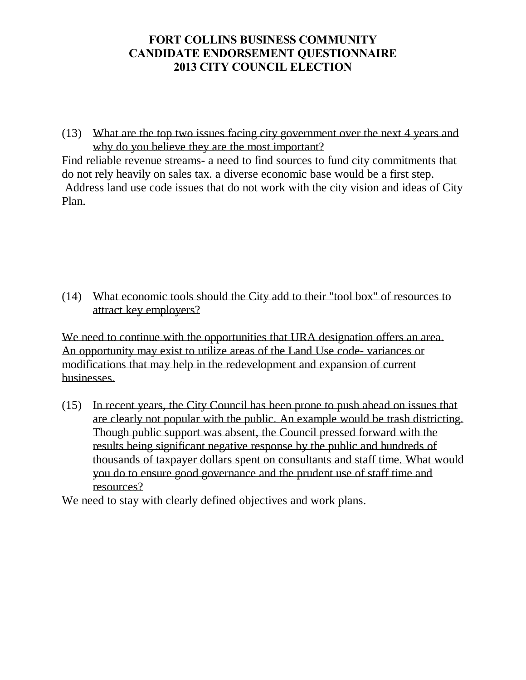(13) What are the top two issues facing city government over the next 4 years and why do you believe they are the most important?

Find reliable revenue streams- a need to find sources to fund city commitments that do not rely heavily on sales tax. a diverse economic base would be a first step. Address land use code issues that do not work with the city vision and ideas of City Plan.

(14) What economic tools should the City add to their "tool box" of resources to attract key employers?

We need to continue with the opportunities that URA designation offers an area. An opportunity may exist to utilize areas of the Land Use code- variances or modifications that may help in the redevelopment and expansion of current businesses.

(15) In recent years, the City Council has been prone to push ahead on issues that are clearly not popular with the public. An example would be trash districting. Though public support was absent, the Council pressed forward with the results being significant negative response by the public and hundreds of thousands of taxpayer dollars spent on consultants and staff time. What would you do to ensure good governance and the prudent use of staff time and resources?

We need to stay with clearly defined objectives and work plans.